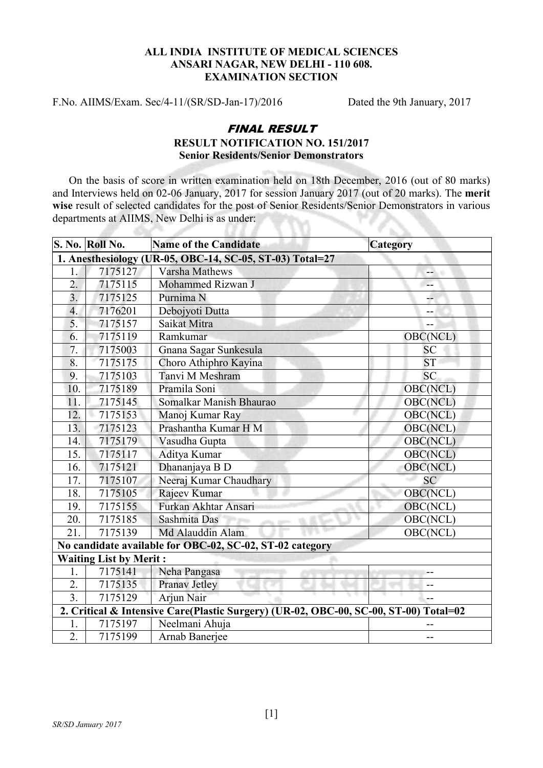## ALL INDIA INSTITUTE OF MEDICAL SCIENCES ANSARI NAGAR, NEW DELHI - 110 608. EXAMINATION SECTION

F.No. AIIMS/Exam. Sec/4-11/(SR/SD-Jan-17)/2016 Dated the 9th January, 2017

 $\Delta\omega$ 

## FINAL RESULT RESULT NOTIFICATION NO. 151/2017 Senior Residents/Senior Demonstrators

On the basis of score in written examination held on 18th December, 2016 (out of 80 marks) and Interviews held on 02-06 January, 2017 for session January 2017 (out of 20 marks). The merit wise result of selected candidates for the post of Senior Residents/Senior Demonstrators in various departments at AIIMS, New Delhi is as under: y.

33 X X

|                                                                                      | S. No. Roll No.               | <b>Name of the Candidate</b>                             | <b>Category</b> |
|--------------------------------------------------------------------------------------|-------------------------------|----------------------------------------------------------|-----------------|
|                                                                                      |                               | 1. Anesthesiology (UR-05, OBC-14, SC-05, ST-03) Total=27 |                 |
| $\overline{1}$ .                                                                     | 7175127                       | <b>Varsha Mathews</b>                                    | --              |
| $\overline{2}$ .                                                                     | 7175115                       | Mohammed Rizwan J                                        | --              |
| $\overline{3}$ .                                                                     | 7175125                       | Purnima <sub>N</sub>                                     | --              |
| $\overline{4}$ .                                                                     | 7176201                       | Debojyoti Dutta                                          | --              |
| 5.                                                                                   | 7175157                       | Saikat Mitra                                             | --              |
| 6.                                                                                   | 7175119                       | Ramkumar                                                 | OBC(NCL)        |
| 7.                                                                                   | 7175003                       | Gnana Sagar Sunkesula                                    | <b>SC</b>       |
| 8.                                                                                   | 7175175                       | Choro Athiphro Kayina                                    | <b>ST</b>       |
| 9.                                                                                   | 7175103                       | Tanvi M Meshram                                          | SC.             |
| 10.                                                                                  | 7175189                       | Pramila Soni                                             | OBC(NCL)        |
| 11.                                                                                  | 7175145                       | Somalkar Manish Bhaurao                                  | <b>OBC(NCL)</b> |
| 12.                                                                                  | 7175153                       | Manoj Kumar Ray                                          | OBC(NCL)        |
| 13.                                                                                  | 7175123                       | Prashantha Kumar H M                                     | <b>OBC(NCL)</b> |
| 14.                                                                                  | 7175179                       | Vasudha Gupta                                            | OBC(NCL)        |
| 15.                                                                                  | 7175117                       | Aditya Kumar                                             | <b>OBC(NCL)</b> |
| 16.                                                                                  | 7175121                       | Dhananjaya B D                                           | OBC(NCL)        |
| 17.                                                                                  | 7175107                       | Neeraj Kumar Chaudhary                                   | SC              |
| 18.                                                                                  | 7175105                       | Rajeev Kumar                                             | OBC(NCL)        |
| 19.                                                                                  | 7175155                       | Furkan Akhtar Ansari                                     | OBC(NCL)        |
| 20.                                                                                  | 7175185                       | Sashmita Das                                             | OBC(NCL)        |
| 21.                                                                                  | 7175139                       | Md Alauddin Alam                                         | OBC(NCL)        |
|                                                                                      |                               | No candidate available for OBC-02, SC-02, ST-02 category |                 |
|                                                                                      | <b>Waiting List by Merit:</b> |                                                          |                 |
| 1.                                                                                   | 7175141                       | Neha Pangasa                                             |                 |
| 2.                                                                                   | 7175135                       | Pranav Jetley                                            | --              |
| $\overline{3}$ .                                                                     | 7175129                       | Arjun Nair                                               | --              |
| 2. Critical & Intensive Care(Plastic Surgery) (UR-02, OBC-00, SC-00, ST-00) Total=02 |                               |                                                          |                 |
| 1.                                                                                   | 7175197                       | Neelmani Ahuja                                           |                 |
| 2.                                                                                   | 7175199                       | Arnab Banerjee                                           | $-$             |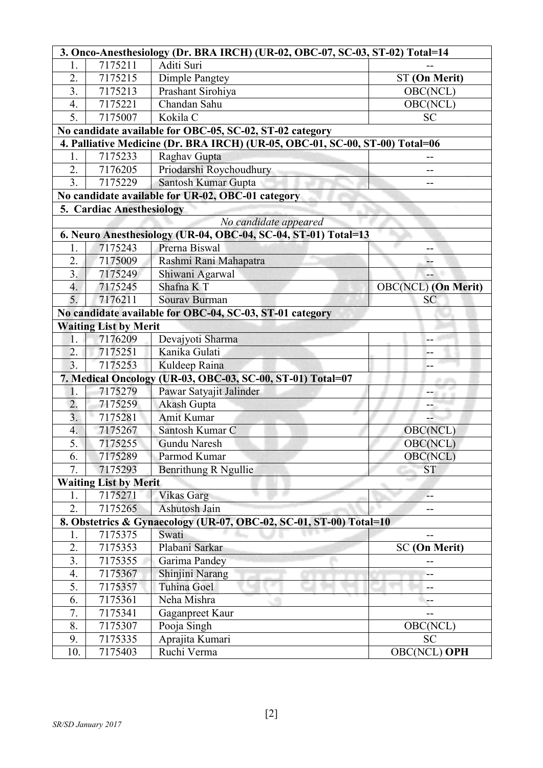|                  | 3. Onco-Anesthesiology (Dr. BRA IRCH) (UR-02, OBC-07, SC-03, ST-02) Total=14 |                                                                              |                            |  |  |
|------------------|------------------------------------------------------------------------------|------------------------------------------------------------------------------|----------------------------|--|--|
| 1.               | 7175211                                                                      | Aditi Suri                                                                   |                            |  |  |
| 2.               | 7175215                                                                      | Dimple Pangtey                                                               | ST (On Merit)              |  |  |
| $\overline{3}$ . | 7175213                                                                      | Prashant Sirohiya                                                            | OBC(NCL)                   |  |  |
| 4.               | 7175221                                                                      | Chandan Sahu                                                                 | OBC(NCL)                   |  |  |
| 5.               | 7175007                                                                      | Kokila C                                                                     | <b>SC</b>                  |  |  |
|                  |                                                                              | No candidate available for OBC-05, SC-02, ST-02 category                     |                            |  |  |
|                  |                                                                              | 4. Palliative Medicine (Dr. BRA IRCH) (UR-05, OBC-01, SC-00, ST-00) Total=06 |                            |  |  |
| 1.               | 7175233                                                                      | Raghav Gupta                                                                 | --                         |  |  |
| 2.               | 7176205                                                                      | Priodarshi Roychoudhury                                                      |                            |  |  |
| $\overline{3}$ . | 7175229                                                                      | Santosh Kumar Gupta                                                          |                            |  |  |
|                  |                                                                              | No candidate available for UR-02, OBC-01 category                            |                            |  |  |
|                  | <b>5. Cardiac Anesthesiology</b>                                             |                                                                              |                            |  |  |
|                  |                                                                              | No candidate appeared                                                        |                            |  |  |
|                  |                                                                              | 6. Neuro Anesthesiology (UR-04, OBC-04, SC-04, ST-01) Total=13               |                            |  |  |
| 1.               | 7175243                                                                      | Prerna Biswal                                                                | --                         |  |  |
| 2.               | 7175009                                                                      | Rashmi Rani Mahapatra                                                        | --                         |  |  |
| 3 <sub>1</sub>   | 7175249                                                                      | Shiwani Agarwal                                                              |                            |  |  |
| 4.               | 7175245                                                                      | Shafna K T                                                                   | <b>OBC(NCL)</b> (On Merit) |  |  |
| 5.               | 7176211                                                                      | Sourav Burman                                                                | <b>SC</b>                  |  |  |
|                  |                                                                              | No candidate available for OBC-04, SC-03, ST-01 category                     |                            |  |  |
|                  | <b>Waiting List by Merit</b>                                                 |                                                                              |                            |  |  |
| 1.               | 7176209                                                                      | Devajyoti Sharma                                                             |                            |  |  |
| 2.               | 7175251                                                                      | Kanika Gulati                                                                | --                         |  |  |
|                  | 3.<br>7175253<br>Kuldeep Raina                                               |                                                                              |                            |  |  |
|                  |                                                                              | 7. Medical Oncology (UR-03, OBC-03, SC-00, ST-01) Total=07                   |                            |  |  |
| 1.               | 7175279                                                                      | Pawar Satyajit Jalinder                                                      |                            |  |  |
| $\overline{2}$ . | 7175259                                                                      | Akash Gupta                                                                  |                            |  |  |
| 3.               | 7175281                                                                      | <b>Amit Kumar</b>                                                            |                            |  |  |
| $\overline{4}$ . | 7175267                                                                      | Santosh Kumar C                                                              | OBC(NCL)                   |  |  |
| 5.               | 7175255                                                                      | <b>Gundu Naresh</b>                                                          | OBC(NCL)                   |  |  |
| $\mathbf{b}$ .   | 7175289                                                                      | Parmod Kumar                                                                 | OBC(NCL)                   |  |  |
| $\overline{7}$ . | 7175293                                                                      | Benrithung R Ngullie                                                         | <b>ST</b>                  |  |  |
|                  | <b>Waiting List by Merit</b>                                                 |                                                                              |                            |  |  |
| 1.               | 7175271                                                                      | Vikas Garg                                                                   | --                         |  |  |
| 2.               | 7175265                                                                      | Ashutosh Jain                                                                |                            |  |  |
|                  |                                                                              | 8. Obstetrics & Gynaecology (UR-07, OBC-02, SC-01, ST-00) Total=10           |                            |  |  |
| 1.               | 7175375                                                                      | Swati                                                                        |                            |  |  |
| 2.               | 7175353                                                                      | Plabani Sarkar                                                               | <b>SC</b> (On Merit)       |  |  |
| 3.               | 7175355                                                                      | Garima Pandey                                                                |                            |  |  |
| 4.               | 7175367                                                                      | Shinjini Narang                                                              |                            |  |  |
| 5.               | 7175357                                                                      | Tuhina Goel                                                                  | --                         |  |  |
| 6.               | 7175361                                                                      | Neha Mishra                                                                  | --                         |  |  |
| 7.               | 7175341                                                                      | Gaganpreet Kaur                                                              |                            |  |  |
| 8.               | 7175307                                                                      | Pooja Singh                                                                  | OBC(NCL)                   |  |  |
| 9.               | 7175335                                                                      | Aprajita Kumari                                                              | <b>SC</b>                  |  |  |
| 10.              | 7175403                                                                      | Ruchi Verma                                                                  | <b>OBC(NCL) OPH</b>        |  |  |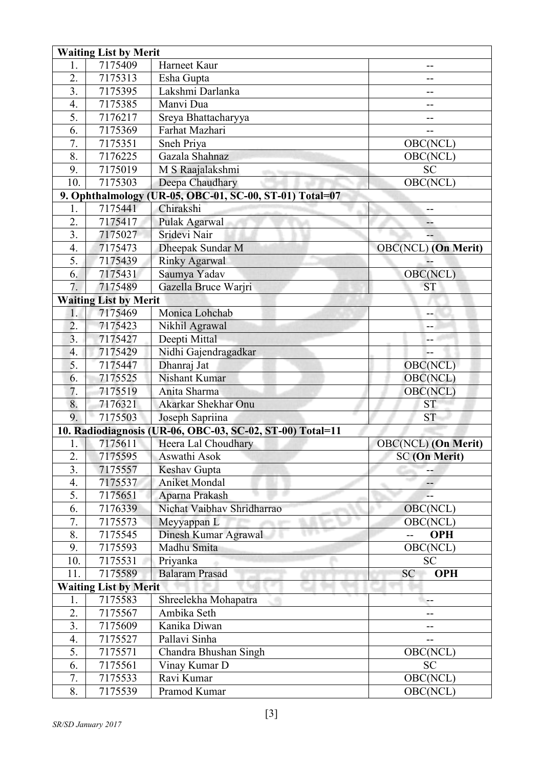|                  | <b>Waiting List by Merit</b> |                                                           |                            |  |  |
|------------------|------------------------------|-----------------------------------------------------------|----------------------------|--|--|
| 1.               | 7175409                      | Harneet Kaur                                              |                            |  |  |
| 2.               | 7175313                      | Esha Gupta                                                | --                         |  |  |
| $\overline{3}$ . | 7175395                      | Lakshmi Darlanka                                          |                            |  |  |
| 4.               | 7175385                      | Manvi Dua                                                 | --                         |  |  |
| 5.               | 7176217                      | Sreya Bhattacharyya                                       |                            |  |  |
| 6.               | 7175369                      | Farhat Mazhari                                            | --                         |  |  |
| 7.               | 7175351                      | Sneh Priya                                                | OBC(NCL)                   |  |  |
| 8.               | 7176225                      | Gazala Shahnaz                                            | OBC(NCL)                   |  |  |
| 9.               | 7175019                      | M S Raajalakshmi                                          | <b>SC</b>                  |  |  |
| 10.              | 7175303                      | Deepa Chaudhary                                           | OBC(NCL)                   |  |  |
|                  |                              | 9. Ophthalmology (UR-05, OBC-01, SC-00, ST-01) Total=07   |                            |  |  |
| 1.               | 7175441                      | Chirakshi                                                 | --                         |  |  |
| 2.               | 7175417                      | Pulak Agarwal                                             | --                         |  |  |
| 3.               | 7175027                      | Sridevi Nair                                              |                            |  |  |
| 4.               | 7175473                      | Dheepak Sundar M                                          | <b>OBC(NCL)</b> (On Merit) |  |  |
| 5.               | 7175439                      | <b>Rinky Agarwal</b>                                      |                            |  |  |
| 6.               | 7175431                      | Saumya Yadav                                              | OBC(NCL)                   |  |  |
| 7.               | 7175489                      | Gazella Bruce Warjri                                      | <b>ST</b>                  |  |  |
|                  | <b>Waiting List by Merit</b> |                                                           |                            |  |  |
| 1.               | 7175469                      | Monica Lohchab                                            | --                         |  |  |
| $\overline{2}$ . | 7175423                      | Nikhil Agrawal                                            | --                         |  |  |
| 3.               | 7175427                      | Deepti Mittal                                             |                            |  |  |
| 4.               | 7175429                      | Nidhi Gajendragadkar                                      | –−                         |  |  |
| 5.               | 7175447                      | Dhanraj Jat                                               | OBC(NCL)                   |  |  |
| 6.               | 7175525                      | Nishant Kumar                                             | OBC(NCL)                   |  |  |
| 7.               | 7175519                      | Anita Sharma                                              | OBC(NCL)                   |  |  |
| 8.               | 7176321                      | Akarkar Shekhar Onu                                       | <b>ST</b>                  |  |  |
| 9.               | 7175503                      | Joseph Sapriina                                           | <b>ST</b>                  |  |  |
|                  |                              | 10. Radiodiagnosis (UR-06, OBC-03, SC-02, ST-00) Total=11 |                            |  |  |
| 1.               | 7175611                      | Heera Lal Choudhary                                       | <b>OBC(NCL)</b> (On Merit) |  |  |
| 2.               | 7175595                      | Aswathi Asok                                              | <b>SC</b> (On Merit)       |  |  |
| 3.               | 7175557                      | Keshav Gupta                                              |                            |  |  |
| 4.               | 7175537                      | <b>Aniket Mondal</b>                                      |                            |  |  |
| 5.               | 7175651                      | Aparna Prakash                                            |                            |  |  |
| 6.               | 7176339                      | Nichat Vaibhav Shridharrao                                | OBC(NCL)                   |  |  |
| 7.               | 7175573                      | Meyyappan L                                               | OBC(NCL)                   |  |  |
| 8.               | 7175545                      | Dinesh Kumar Agrawal                                      | <b>OPH</b><br>$-$          |  |  |
| 9.               | 7175593                      | Madhu Smita                                               | OBC(NCL)                   |  |  |
| 10.              | 7175531                      | Priyanka                                                  | <b>SC</b>                  |  |  |
| 11.              | 7175589                      | <b>Balaram Prasad</b>                                     | <b>SC</b><br><b>OPH</b>    |  |  |
|                  | <b>Waiting List by Merit</b> |                                                           |                            |  |  |
| 1.               | 7175583                      | Shreelekha Mohapatra                                      | --                         |  |  |
| 2.               | 7175567                      | Ambika Seth                                               | --                         |  |  |
| 3.               | 7175609                      | Kanika Diwan                                              |                            |  |  |
| 4.               | 7175527                      | Pallavi Sinha                                             | --                         |  |  |
| 5.               | 7175571                      | Chandra Bhushan Singh                                     | OBC(NCL)                   |  |  |
| 6.               | 7175561                      | Vinay Kumar D                                             | <b>SC</b>                  |  |  |
| 7.               | 7175533                      | Ravi Kumar                                                | OBC(NCL)                   |  |  |
| 8.               | 7175539                      | Pramod Kumar                                              | OBC(NCL)                   |  |  |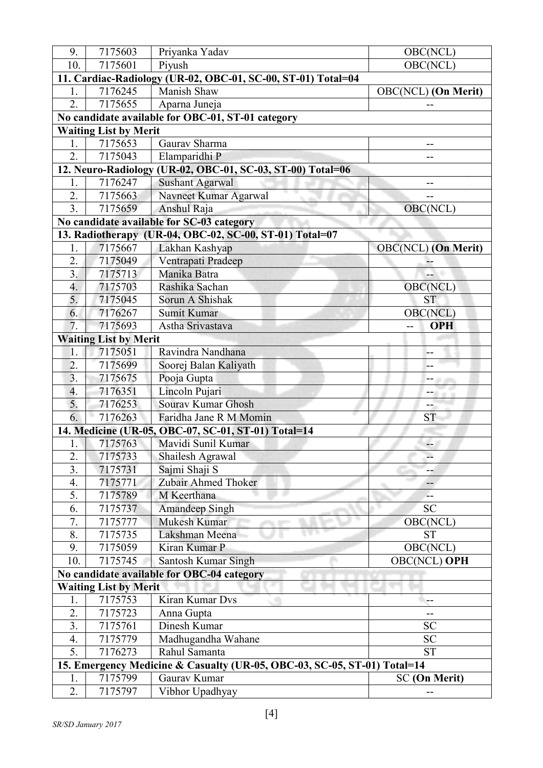| 9.                                                                       | 7175603                      | Priyanka Yadav                                               | OBC(NCL)                   |  |
|--------------------------------------------------------------------------|------------------------------|--------------------------------------------------------------|----------------------------|--|
| 10.                                                                      | 7175601                      | Piyush                                                       | OBC(NCL)                   |  |
|                                                                          |                              | 11. Cardiac-Radiology (UR-02, OBC-01, SC-00, ST-01) Total=04 |                            |  |
| 1.                                                                       | 7176245                      | Manish Shaw                                                  | OBC(NCL) (On Merit)        |  |
| $\overline{2}$ .                                                         | 7175655                      | Aparna Juneja                                                |                            |  |
|                                                                          |                              | No candidate available for OBC-01, ST-01 category            |                            |  |
|                                                                          | <b>Waiting List by Merit</b> |                                                              |                            |  |
| 1.                                                                       | 7175653                      | Gaurav Sharma                                                |                            |  |
| $\overline{2}$ .                                                         | 7175043                      | Elamparidhi P                                                |                            |  |
|                                                                          |                              | 12. Neuro-Radiology (UR-02, OBC-01, SC-03, ST-00) Total=06   |                            |  |
| 1.                                                                       | 7176247                      | <b>Sushant Agarwal</b>                                       | --                         |  |
| 2.                                                                       | 7175663                      | Navneet Kumar Agarwal                                        |                            |  |
| $\overline{3}$ .                                                         | 7175659                      | Anshul Raja                                                  | OBC(NCL)                   |  |
|                                                                          |                              | No candidate available for SC-03 category                    |                            |  |
|                                                                          |                              | 13. Radiotherapy (UR-04, OBC-02, SC-00, ST-01) Total=07      |                            |  |
| 1.                                                                       | 7175667                      | Lakhan Kashyap                                               | <b>OBC(NCL)</b> (On Merit) |  |
| 2.                                                                       | 7175049                      | Ventrapati Pradeep                                           |                            |  |
| 3.                                                                       | 7175713                      | Manika Batra                                                 |                            |  |
| 4.                                                                       | 7175703                      | Rashika Sachan                                               | OBC(NCL)                   |  |
| 5.                                                                       | 7175045                      | Sorun A Shishak                                              | <b>ST</b>                  |  |
| 6.                                                                       | 7176267                      | Sumit Kumar                                                  | <b>OBC(NCL)</b>            |  |
| 7.                                                                       | 7175693                      | Astha Srivastava                                             | <b>OPH</b><br>$-$          |  |
|                                                                          | <b>Waiting List by Merit</b> |                                                              |                            |  |
| 1.                                                                       | 7175051                      | Ravindra Nandhana                                            | --                         |  |
| $\overline{2}$ .                                                         | 7175699                      | Soorej Balan Kaliyath                                        |                            |  |
| $\overline{3}$ .                                                         | 7175675                      | Pooja Gupta                                                  | -- 876                     |  |
| 4.                                                                       | 7176351                      | Lincoln Pujari                                               | mit ein                    |  |
| 5.                                                                       | 7176253                      | Sourav Kumar Ghosh                                           |                            |  |
| 6.                                                                       | 7176263                      | Faridha Jane R M Momin                                       | <b>ST</b>                  |  |
|                                                                          |                              | 14. Medicine (UR-05, OBC-07, SC-01, ST-01) Total=14          |                            |  |
| 1.                                                                       | 7175763                      | Mavidi Sunil Kumar                                           | Ξ.                         |  |
| 2.                                                                       | 7175733                      | Shailesh Agrawal                                             | --                         |  |
| 3.                                                                       | 7175731                      | Sajmi Shaji S                                                |                            |  |
| 4.                                                                       | 7175771                      | Zubair Ahmed Thoker                                          |                            |  |
| 5.                                                                       | 7175789                      | M Keerthana                                                  |                            |  |
| 6.                                                                       | 7175737                      | Amandeep Singh                                               | <b>SC</b>                  |  |
| 7.                                                                       | 7175777                      | Mukesh Kumar                                                 | OBC(NCL)                   |  |
| 8.                                                                       | 7175735                      | Lakshman Meena                                               | <b>ST</b>                  |  |
| 9.                                                                       | 7175059                      | Kiran Kumar P                                                | OBC(NCL)                   |  |
| 10.                                                                      | 7175745                      | Santosh Kumar Singh                                          | <b>OBC(NCL) OPH</b>        |  |
| No candidate available for OBC-04 category                               |                              |                                                              |                            |  |
|                                                                          | <b>Waiting List by Merit</b> |                                                              |                            |  |
| 1.                                                                       | 7175753                      | Kiran Kumar Dvs                                              |                            |  |
| 2.                                                                       | 7175723                      | Anna Gupta                                                   |                            |  |
| 3.                                                                       | 7175761                      | Dinesh Kumar                                                 | <b>SC</b>                  |  |
| 4.                                                                       | 7175779                      | Madhugandha Wahane                                           | <b>SC</b>                  |  |
| 5.                                                                       | 7176273                      | Rahul Samanta                                                | <b>ST</b>                  |  |
| 15. Emergency Medicine & Casualty (UR-05, OBC-03, SC-05, ST-01) Total=14 |                              |                                                              |                            |  |
| 1.                                                                       | 7175799                      | Gaurav Kumar                                                 | <b>SC</b> (On Merit)       |  |
| 2.                                                                       | 7175797                      | Vibhor Upadhyay                                              |                            |  |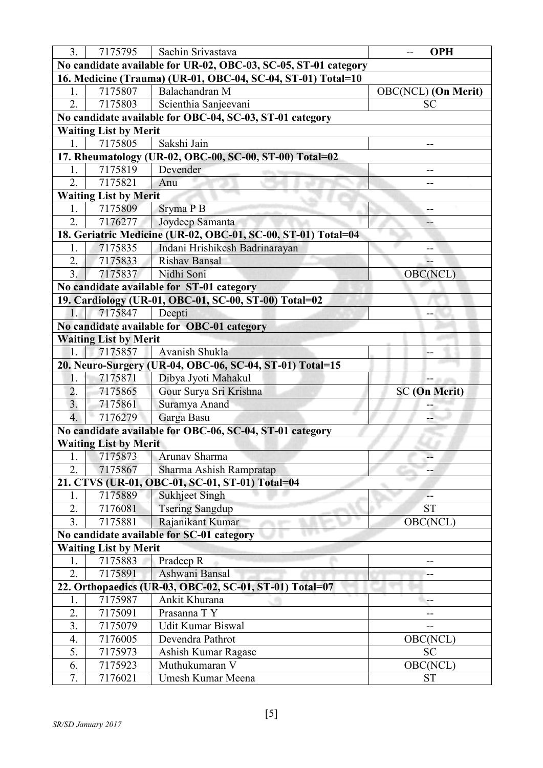| 3 <sub>1</sub>         | 7175795                                                         | Sachin Srivastava                                             | <b>OPH</b><br>--           |  |  |
|------------------------|-----------------------------------------------------------------|---------------------------------------------------------------|----------------------------|--|--|
|                        | No candidate available for UR-02, OBC-03, SC-05, ST-01 category |                                                               |                            |  |  |
|                        |                                                                 | 16. Medicine (Trauma) (UR-01, OBC-04, SC-04, ST-01) Total=10  |                            |  |  |
| 1.                     | 7175807                                                         | Balachandran M                                                | <b>OBC(NCL)</b> (On Merit) |  |  |
| $\overline{2}$ .       | 7175803                                                         | Scienthia Sanjeevani                                          | SC                         |  |  |
|                        |                                                                 | No candidate available for OBC-04, SC-03, ST-01 category      |                            |  |  |
|                        | <b>Waiting List by Merit</b>                                    |                                                               |                            |  |  |
| 1.                     | 7175805                                                         | Sakshi Jain                                                   |                            |  |  |
|                        |                                                                 | 17. Rheumatology (UR-02, OBC-00, SC-00, ST-00) Total=02       |                            |  |  |
| 1.                     | 7175819                                                         | Devender                                                      | --                         |  |  |
| 2.                     | 7175821                                                         | Anu                                                           | --                         |  |  |
|                        | <b>Waiting List by Merit</b>                                    |                                                               |                            |  |  |
| 1.                     | 7175809                                                         | Sryma P B                                                     | --                         |  |  |
| 2.                     | 7176277                                                         | Joydeep Samanta                                               | --                         |  |  |
|                        |                                                                 | 18. Geriatric Medicine (UR-02, OBC-01, SC-00, ST-01) Total=04 |                            |  |  |
| 1.                     | 7175835                                                         | Indani Hrishikesh Badrinarayan                                | --                         |  |  |
| 2.                     | 7175833                                                         | <b>Rishav Bansal</b>                                          |                            |  |  |
| 3 <sub>1</sub>         | 7175837                                                         | Nidhi Soni                                                    | OBC(NCL)                   |  |  |
|                        |                                                                 | No candidate available for ST-01 category                     |                            |  |  |
|                        |                                                                 | 19. Cardiology (UR-01, OBC-01, SC-00, ST-00) Total=02         |                            |  |  |
| $1_{-}$                | 7175847                                                         | Deepti                                                        |                            |  |  |
|                        |                                                                 | No candidate available for OBC-01 category                    |                            |  |  |
|                        | <b>Waiting List by Merit</b>                                    |                                                               |                            |  |  |
| 1.                     | 7175857                                                         | Avanish Shukla                                                | --                         |  |  |
|                        |                                                                 | 20. Neuro-Surgery (UR-04, OBC-06, SC-04, ST-01) Total=15      |                            |  |  |
| 1.                     | 7175871                                                         | Dibya Jyoti Mahakul                                           | -- 11                      |  |  |
| 2.                     | 7175865                                                         | Gour Surya Sri Krishna                                        | <b>SC</b> (On Merit)       |  |  |
| 3.<br>$\overline{4}$ . | 7175861                                                         | Suramya Anand                                                 |                            |  |  |
|                        | 7176279                                                         | Garga Basu                                                    |                            |  |  |
|                        |                                                                 | No candidate available for OBC-06, SC-04, ST-01 category      |                            |  |  |
|                        | <b>Waiting List by Merit</b>                                    |                                                               |                            |  |  |
| Ī.                     | 7175873                                                         | Arunav Sharma                                                 |                            |  |  |
| 2.                     | 7175867                                                         | Sharma Ashish Rampratap                                       |                            |  |  |
|                        |                                                                 |                                                               |                            |  |  |
|                        |                                                                 | 21. CTVS (UR-01, OBC-01, SC-01, ST-01) Total=04               |                            |  |  |
| 1.                     | 7175889                                                         | <b>Sukhjeet Singh</b>                                         |                            |  |  |
| 2.                     | 7176081                                                         | <b>Tsering Sangdup</b>                                        | <b>ST</b>                  |  |  |
| 3.                     | 7175881                                                         | Rajanikant Kumar                                              | <b>OBC(NCL)</b>            |  |  |
|                        |                                                                 | No candidate available for SC-01 category                     |                            |  |  |
|                        | <b>Waiting List by Merit</b>                                    |                                                               |                            |  |  |
| 1.                     | 7175883                                                         | Pradeep R                                                     |                            |  |  |
| 2.                     | 7175891                                                         | Ashwani Bansal                                                |                            |  |  |
|                        |                                                                 | 22. Orthopaedics (UR-03, OBC-02, SC-01, ST-01) Total=07       |                            |  |  |
| 1.                     | 7175987                                                         | Ankit Khurana                                                 | --                         |  |  |
| 2.                     | 7175091                                                         | Prasanna TY                                                   |                            |  |  |
| 3.                     | 7175079                                                         | Udit Kumar Biswal                                             |                            |  |  |
| 4.                     | 7176005                                                         | Devendra Pathrot                                              | OBC(NCL)                   |  |  |
| 5.<br>6.               | 7175973<br>7175923                                              | Ashish Kumar Ragase<br>Muthukumaran V                         | <b>SC</b><br>OBC(NCL)      |  |  |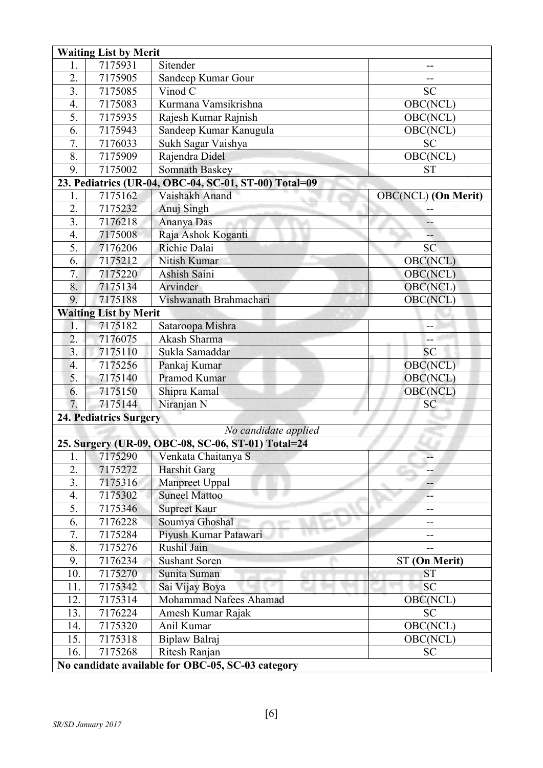|                                                   | <b>Waiting List by Merit</b>  |                                                       |                            |  |  |
|---------------------------------------------------|-------------------------------|-------------------------------------------------------|----------------------------|--|--|
| 1.                                                | 7175931                       | Sitender                                              |                            |  |  |
| 2.                                                | 7175905                       | Sandeep Kumar Gour                                    |                            |  |  |
| 3.                                                | 7175085                       | Vinod C                                               | <b>SC</b>                  |  |  |
| 4.                                                | 7175083                       | Kurmana Vamsikrishna                                  | OBC(NCL)                   |  |  |
| 5.                                                | 7175935                       | Rajesh Kumar Rajnish                                  | OBC(NCL)                   |  |  |
| 6.                                                | 7175943                       | Sandeep Kumar Kanugula                                | OBC(NCL)                   |  |  |
| 7.                                                | 7176033                       | Sukh Sagar Vaishya                                    | <b>SC</b>                  |  |  |
| 8.                                                | 7175909                       | Rajendra Didel                                        | OBC(NCL)                   |  |  |
| 9.                                                | 7175002                       | <b>Somnath Baskey</b>                                 | <b>ST</b>                  |  |  |
|                                                   |                               | 23. Pediatrics (UR-04, OBC-04, SC-01, ST-00) Total=09 |                            |  |  |
| 1.                                                | 7175162                       | Vaishakh Anand                                        | <b>OBC(NCL)</b> (On Merit) |  |  |
| $\overline{2}$ .                                  | 7175232                       | Anuj Singh                                            | --                         |  |  |
| $\overline{3}$ .                                  | 7176218                       | Ananya Das                                            | --                         |  |  |
| 4.                                                | 7175008                       | Raja Ashok Koganti                                    |                            |  |  |
| 5.                                                | 7176206                       | Richie Dalai                                          | <b>SC</b>                  |  |  |
| 6.                                                | 7175212                       | Nitish Kumar                                          | OBC(NCL)                   |  |  |
| 7.                                                | 7175220                       | <b>Ashish Saini</b>                                   | OBC(NCL)                   |  |  |
| 8.                                                | 7175134                       | Arvinder                                              | OBC(NCL)                   |  |  |
| 9.                                                | 7175188                       | Vishwanath Brahmachari                                | OBC(NCL)                   |  |  |
|                                                   | <b>Waiting List by Merit</b>  |                                                       |                            |  |  |
| 1.                                                | 7175182                       | Sataroopa Mishra                                      |                            |  |  |
| $\overline{2}$ .                                  | 7176075                       | Akash Sharma                                          | ÷-                         |  |  |
| 3.                                                | 7175110                       | Sukla Samaddar                                        | SC                         |  |  |
| 4.                                                | 7175256                       | Pankaj Kumar                                          | OBC(NCL)                   |  |  |
| 5.                                                | 7175140                       | Pramod Kumar                                          | OBC(NCL)                   |  |  |
| 6.                                                | 7175150                       | Shipra Kamal                                          | OBC(NCL)                   |  |  |
| 7.                                                | 7175144                       | Niranjan N                                            | SC                         |  |  |
|                                                   | <b>24. Pediatrics Surgery</b> |                                                       |                            |  |  |
|                                                   |                               | No candidate applied                                  |                            |  |  |
|                                                   |                               | 25. Surgery (UR-09, OBC-08, SC-06, ST-01) Total=24    |                            |  |  |
| 1.                                                | 7175290                       | Venkata Chaitanya S                                   |                            |  |  |
| 2.                                                | 7175272                       | <b>Harshit Garg</b>                                   |                            |  |  |
| 3.                                                | 7175316                       | Manpreet Uppal                                        | --                         |  |  |
| 4.                                                | 7175302                       | <b>Suneel Mattoo</b>                                  |                            |  |  |
| 5.                                                | 7175346                       | <b>Supreet Kaur</b>                                   | --                         |  |  |
| 6.                                                | 7176228                       | Soumya Ghoshal                                        | --                         |  |  |
| 7.                                                | 7175284                       | Piyush Kumar Patawari                                 | --                         |  |  |
| 8.                                                | 7175276                       | Rushil Jain                                           |                            |  |  |
| 9.                                                | 7176234                       | <b>Sushant Soren</b>                                  | ST (On Merit)              |  |  |
| 10.                                               | 7175270                       | Sunita Suman                                          | <b>ST</b>                  |  |  |
| 11.                                               | 7175342                       | Sai Vijay Boya                                        | <b>SC</b>                  |  |  |
| 12.                                               | 7175314                       | Mohammad Nafees Ahamad                                | OBC(NCL)                   |  |  |
| 13.                                               | 7176224                       | Amesh Kumar Rajak                                     | SC                         |  |  |
| 14.                                               | 7175320                       | Anil Kumar                                            | OBC(NCL)                   |  |  |
| 15.                                               | 7175318                       | Biplaw Balraj                                         | OBC(NCL)                   |  |  |
| 16.                                               | 7175268                       | Ritesh Ranjan                                         | <b>SC</b>                  |  |  |
| No candidate available for OBC-05, SC-03 category |                               |                                                       |                            |  |  |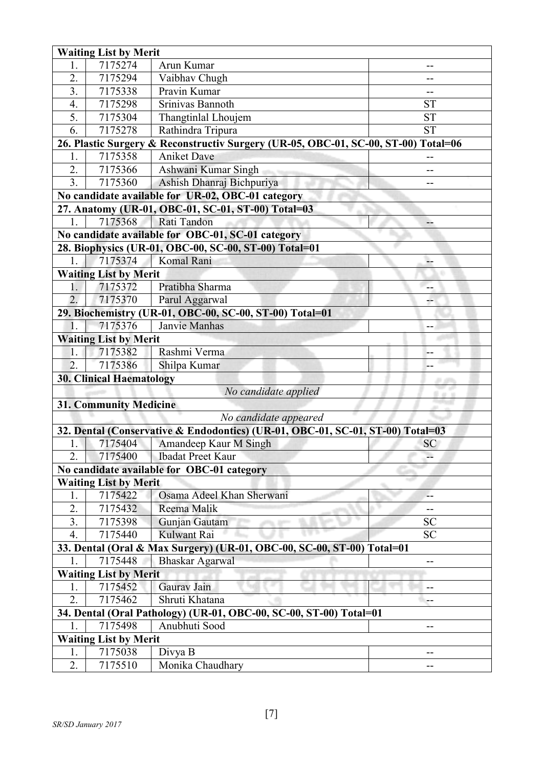|                                             | <b>Waiting List by Merit</b>  |                                                                                    |           |  |  |
|---------------------------------------------|-------------------------------|------------------------------------------------------------------------------------|-----------|--|--|
| 1.                                          | 7175274                       | Arun Kumar                                                                         |           |  |  |
| $\overline{2}$ .                            | 7175294                       | Vaibhav Chugh                                                                      | --        |  |  |
| 3.                                          | 7175338                       | Pravin Kumar                                                                       |           |  |  |
| 4.                                          | 7175298                       | Srinivas Bannoth                                                                   | <b>ST</b> |  |  |
| 5.                                          | 7175304                       | Thangtinlal Lhoujem                                                                | <b>ST</b> |  |  |
| 6.                                          | 7175278                       | Rathindra Tripura                                                                  | <b>ST</b> |  |  |
|                                             |                               | 26. Plastic Surgery & Reconstructiv Surgery (UR-05, OBC-01, SC-00, ST-00) Total=06 |           |  |  |
| 1.                                          | 7175358                       | <b>Aniket Dave</b>                                                                 |           |  |  |
| 2.                                          | 7175366                       | Ashwani Kumar Singh                                                                | --        |  |  |
| 3.                                          | 7175360                       | Ashish Dhanraj Bichpuriya                                                          | --        |  |  |
|                                             |                               | No candidate available for UR-02, OBC-01 category                                  |           |  |  |
|                                             |                               | 27. Anatomy (UR-01, OBC-01, SC-01, ST-00) Total=03                                 |           |  |  |
| $\overline{1}$ .                            | 7175368                       | Rati Tandon                                                                        | --        |  |  |
|                                             |                               | No candidate available for OBC-01, SC-01 category                                  |           |  |  |
|                                             |                               | 28. Biophysics (UR-01, OBC-00, SC-00, ST-00) Total=01                              |           |  |  |
| 1.                                          | 7175374                       | Komal Rani                                                                         |           |  |  |
|                                             | <b>Waiting List by Merit</b>  |                                                                                    |           |  |  |
| 1.                                          | 7175372                       | Pratibha Sharma                                                                    | --        |  |  |
| $\overline{2}$ .                            | 7175370                       | Parul Aggarwal                                                                     | --        |  |  |
|                                             |                               | 29. Biochemistry (UR-01, OBC-00, SC-00, ST-00) Total=01                            |           |  |  |
| $\mathbf{1}$ .                              | 7175376                       | Janvie Manhas                                                                      | --        |  |  |
|                                             | <b>Waiting List by Merit</b>  |                                                                                    |           |  |  |
| 1.                                          | 7175382                       | Rashmi Verma                                                                       | --        |  |  |
| $\overline{2}$ .                            | 7175386                       | Shilpa Kumar                                                                       |           |  |  |
| <b>30. Clinical Haematology</b><br><b>.</b> |                               |                                                                                    |           |  |  |
|                                             | No candidate applied          |                                                                                    |           |  |  |
|                                             | <b>31. Community Medicine</b> |                                                                                    |           |  |  |
|                                             |                               | No candidate appeared                                                              |           |  |  |
|                                             |                               | 32. Dental (Conservative & Endodontics) (UR-01, OBC-01, SC-01, ST-00) Total=03     |           |  |  |
| 1.                                          | 7175404                       | Amandeep Kaur M Singh                                                              | <b>SC</b> |  |  |
| 2.                                          | 7175400                       | <b>Ibadat Preet Kaur</b>                                                           |           |  |  |
|                                             |                               | No candidate available for OBC-01 category                                         |           |  |  |
|                                             | <b>Waiting List by Merit</b>  |                                                                                    |           |  |  |
| 1.                                          | 7175422                       | Osama Adeel Khan Sherwani                                                          |           |  |  |
| 2.                                          | 7175432                       | Reema Malik                                                                        | --        |  |  |
| 3.                                          | 7175398                       | Gunjan Gautam                                                                      | <b>SC</b> |  |  |
| $\overline{4}$ .                            | 7175440                       | Kulwant Rai                                                                        | <b>SC</b> |  |  |
|                                             |                               | 33. Dental (Oral & Max Surgery) (UR-01, OBC-00, SC-00, ST-00) Total=01             |           |  |  |
|                                             | 7175448                       | Bhaskar Agarwal                                                                    | --        |  |  |
|                                             | <b>Waiting List by Merit</b>  |                                                                                    |           |  |  |
| 1.                                          | 7175452                       | Gaurav Jain                                                                        | --        |  |  |
| 2.                                          | 7175462                       | Shruti Khatana                                                                     |           |  |  |
|                                             |                               | 34. Dental (Oral Pathology) (UR-01, OBC-00, SC-00, ST-00) Total=01                 |           |  |  |
|                                             | 7175498                       | Anubhuti Sood                                                                      | --        |  |  |
| <b>Waiting List by Merit</b>                |                               |                                                                                    |           |  |  |
| 1.                                          | 7175038                       | Divya B                                                                            |           |  |  |
| 2.                                          | 7175510                       | Monika Chaudhary                                                                   |           |  |  |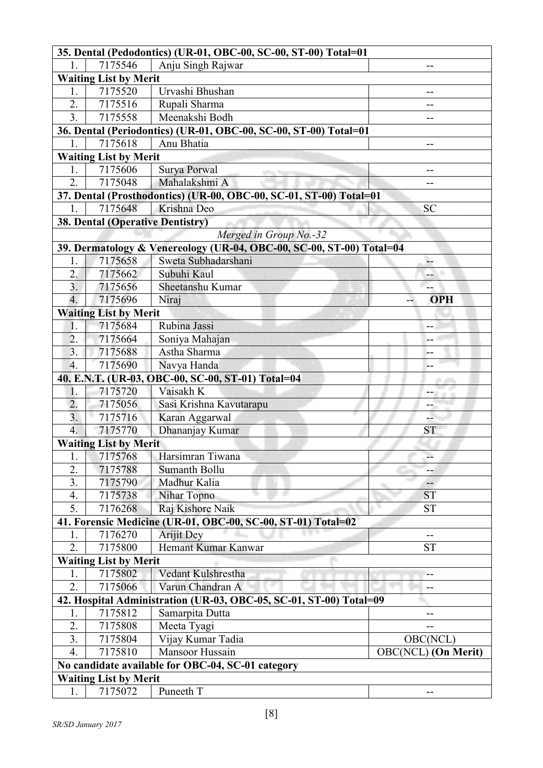|                        |                                         | 35. Dental (Pedodontics) (UR-01, OBC-00, SC-00, ST-00) Total=01      |                            |  |  |
|------------------------|-----------------------------------------|----------------------------------------------------------------------|----------------------------|--|--|
|                        | 7175546                                 | Anju Singh Rajwar                                                    |                            |  |  |
|                        | <b>Waiting List by Merit</b>            |                                                                      |                            |  |  |
| 1.                     | 7175520                                 | Urvashi Bhushan                                                      | --                         |  |  |
| 2.                     | 7175516                                 | Rupali Sharma                                                        |                            |  |  |
| 3.                     | 7175558                                 | Meenakshi Bodh                                                       | --                         |  |  |
|                        |                                         | 36. Dental (Periodontics) (UR-01, OBC-00, SC-00, ST-00) Total=01     |                            |  |  |
| 1.                     | 7175618                                 | Anu Bhatia                                                           | --                         |  |  |
|                        | <b>Waiting List by Merit</b>            |                                                                      |                            |  |  |
| 1.                     | 7175606                                 | Surya Porwal                                                         | --                         |  |  |
| 2.                     | 7175048                                 | Mahalakshmi A                                                        | --                         |  |  |
|                        |                                         | 37. Dental (Prosthodontics) (UR-00, OBC-00, SC-01, ST-00) Total=01   |                            |  |  |
| 1.                     | 7175648                                 | Krishna Deo                                                          | <b>SC</b>                  |  |  |
|                        | <b>38. Dental (Operative Dentistry)</b> |                                                                      |                            |  |  |
|                        |                                         | Merged in Group No.-32                                               |                            |  |  |
|                        |                                         | 39. Dermatology & Venereology (UR-04, OBC-00, SC-00, ST-00) Total=04 |                            |  |  |
| 1.                     | 7175658                                 | Sweta Subhadarshani                                                  |                            |  |  |
| 2.                     | 7175662                                 | Subuhi Kaul                                                          | -- 11                      |  |  |
| 3.                     | 7175656                                 | Sheetanshu Kumar                                                     | --                         |  |  |
| $\overline{4}$ .       | 7175696                                 | Niraj                                                                | <b>OPH</b>                 |  |  |
|                        | <b>Waiting List by Merit</b>            |                                                                      |                            |  |  |
| 1.                     | 7175684                                 | Rubina Jassi                                                         | --                         |  |  |
| $\overline{2}$ .       | 7175664                                 | Soniya Mahajan                                                       | --                         |  |  |
| 3 <sub>1</sub>         | 7175688                                 | Astha Sharma                                                         | --                         |  |  |
| $\overline{4}$ .       | 7175690                                 | Navya Handa                                                          |                            |  |  |
|                        |                                         | 40. E.N.T. (UR-03, OBC-00, SC-00, ST-01) Total=04                    | <b>.</b>                   |  |  |
| 1.                     | 7175720                                 | Vaisakh K                                                            | --                         |  |  |
| 2.                     | 7175056                                 | Sasi Krishna Kavutarapu                                              | --                         |  |  |
| $\overline{3}$ .       | 7175716                                 | Karan Aggarwal                                                       | --                         |  |  |
| 4.                     | 7175770                                 | Dhananjay Kumar                                                      | <b>ST</b>                  |  |  |
|                        | <b>Waiting List by Merit</b>            |                                                                      |                            |  |  |
| I.                     | 7175768                                 | Harsimran Tiwana                                                     | --                         |  |  |
| $\overline{2}$ .       | 7175788                                 | Sumanth Bollu                                                        |                            |  |  |
| 3.                     | 7175790                                 | Madhur Kalia                                                         | --<br>m.                   |  |  |
| $\mathbf{4}$ .         | 7175738                                 | Nihar Topno                                                          | <b>ST</b>                  |  |  |
| 5.                     | 7176268                                 | Raj Kishore Naik                                                     | <b>ST</b>                  |  |  |
|                        |                                         | 41. Forensic Medicine (UR-01, OBC-00, SC-00, ST-01) Total=02         |                            |  |  |
| 1.                     | 7176270                                 | <b>Arijit Dey</b>                                                    | --                         |  |  |
| 2.                     | 7175800                                 | Hemant Kumar Kanwar                                                  | <b>ST</b>                  |  |  |
|                        | <b>Waiting List by Merit</b>            |                                                                      |                            |  |  |
| 1.<br>$\overline{2}$ . | 7175802                                 | Vedant Kulshrestha                                                   |                            |  |  |
|                        | 7175066                                 | Varun Chandran A                                                     | --                         |  |  |
|                        |                                         | 42. Hospital Administration (UR-03, OBC-05, SC-01, ST-00) Total=09   |                            |  |  |
| 1.<br>2.               | 7175812                                 | Samarpita Dutta                                                      |                            |  |  |
|                        | 7175808                                 | Meeta Tyagi                                                          |                            |  |  |
| 3.                     | 7175804                                 | Vijay Kumar Tadia                                                    | OBC(NCL)                   |  |  |
| $\mathbf{4}$ .         | 7175810                                 | Mansoor Hussain                                                      | <b>OBC(NCL)</b> (On Merit) |  |  |
|                        |                                         | No candidate available for OBC-04, SC-01 category                    |                            |  |  |
| 1.                     | <b>Waiting List by Merit</b><br>7175072 | Puneeth T                                                            |                            |  |  |
|                        |                                         |                                                                      |                            |  |  |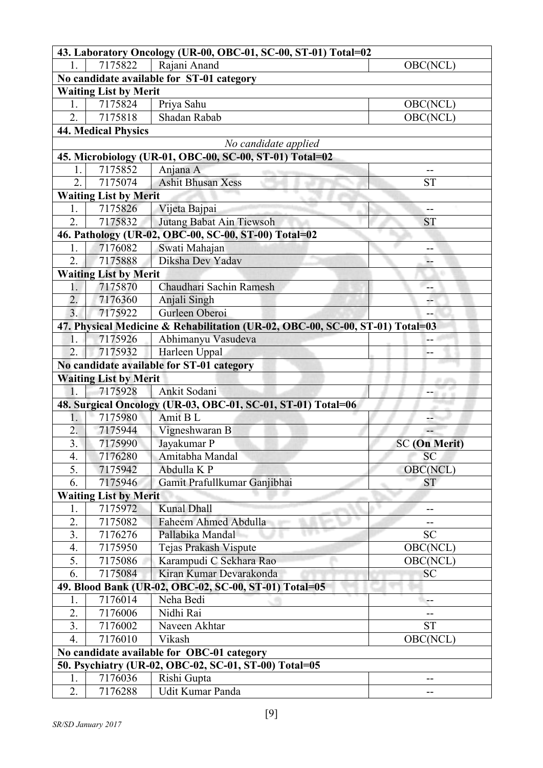| 43. Laboratory Oncology (UR-00, OBC-01, SC-00, ST-01) Total=02 |                                                       |                                                                               |                      |  |  |
|----------------------------------------------------------------|-------------------------------------------------------|-------------------------------------------------------------------------------|----------------------|--|--|
|                                                                | 7175822                                               | Rajani Anand                                                                  | OBC(NCL)             |  |  |
|                                                                |                                                       | No candidate available for ST-01 category                                     |                      |  |  |
|                                                                | <b>Waiting List by Merit</b>                          |                                                                               |                      |  |  |
| 1.                                                             | 7175824                                               | Priya Sahu                                                                    | OBC(NCL)             |  |  |
| $\overline{2}$ .                                               | 7175818                                               | Shadan Rabab                                                                  | OBC(NCL)             |  |  |
|                                                                | <b>44. Medical Physics</b>                            |                                                                               |                      |  |  |
|                                                                |                                                       | No candidate applied                                                          |                      |  |  |
|                                                                |                                                       | 45. Microbiology (UR-01, OBC-00, SC-00, ST-01) Total=02                       |                      |  |  |
| 1.                                                             | 7175852                                               | Anjana A                                                                      | --                   |  |  |
| 2.                                                             | 7175074                                               | <b>Ashit Bhusan Xess</b>                                                      | <b>ST</b>            |  |  |
|                                                                | <b>Waiting List by Merit</b>                          |                                                                               |                      |  |  |
| 1.                                                             | 7175826                                               | Vijeta Bajpai                                                                 | --                   |  |  |
| 2.                                                             | 7175832                                               | Jutang Babat Ain Tiewsoh                                                      | <b>ST</b>            |  |  |
|                                                                |                                                       | 46. Pathology (UR-02, OBC-00, SC-00, ST-00) Total=02                          |                      |  |  |
| 1.                                                             | 7176082                                               | Swati Mahajan                                                                 | --                   |  |  |
| 2.                                                             | 7175888                                               | Diksha Dev Yadav                                                              | --                   |  |  |
|                                                                | <b>Waiting List by Merit</b>                          |                                                                               |                      |  |  |
| 1.                                                             | 7175870                                               | Chaudhari Sachin Ramesh                                                       | --                   |  |  |
| $\overline{2}$ .                                               | 7176360                                               | Anjali Singh                                                                  |                      |  |  |
| 3.                                                             | 7175922                                               | Gurleen Oberoi                                                                |                      |  |  |
|                                                                |                                                       | 47. Physical Medicine & Rehabilitation (UR-02, OBC-00, SC-00, ST-01) Total=03 |                      |  |  |
| 1.                                                             | 7175926                                               | Abhimanyu Vasudeva                                                            | $\overline{a}$       |  |  |
| 2.                                                             | 7175932                                               | Harleen Uppal                                                                 | --                   |  |  |
|                                                                |                                                       | No candidate available for ST-01 category                                     |                      |  |  |
|                                                                | <b>Waiting List by Merit</b>                          |                                                                               |                      |  |  |
| 1.                                                             | 7175928                                               | Ankit Sodani                                                                  | -- 8 a s             |  |  |
| 1.                                                             | 7175980                                               | 48. Surgical Oncology (UR-03, OBC-01, SC-01, ST-01) Total=06<br>Amit B L      |                      |  |  |
| 2.                                                             | 7175944                                               | Vigneshwaran B                                                                | --                   |  |  |
| 3 <sub>1</sub>                                                 | 7175990                                               | Jayakumar P                                                                   | <b>SC</b> (On Merit) |  |  |
| 4.                                                             |                                                       | Amitabha Mandal                                                               | SC                   |  |  |
| 5.                                                             | 7176280<br>7175942                                    | Abdulla K P                                                                   | OBC(NCL)             |  |  |
| 6.                                                             | 7175946                                               | Gamit Prafullkumar Ganjibhai                                                  | <b>ST</b>            |  |  |
|                                                                | <b>Waiting List by Merit</b>                          |                                                                               |                      |  |  |
| 1.                                                             | 7175972                                               | <b>Kunal Dhall</b>                                                            |                      |  |  |
| 2.                                                             | 7175082                                               | Faheem Ahmed Abdulla                                                          |                      |  |  |
| 3.                                                             | 7176276                                               | Pallabika Mandal                                                              | <b>SC</b>            |  |  |
| 4.                                                             | 7175950                                               | Tejas Prakash Vispute                                                         | OBC(NCL)             |  |  |
| 5.                                                             | 7175086                                               | Karampudi C Sekhara Rao                                                       | OBC(NCL)             |  |  |
| 6.                                                             | 7175084                                               | Kiran Kumar Devarakonda                                                       | <b>SC</b>            |  |  |
|                                                                | 49. Blood Bank (UR-02, OBC-02, SC-00, ST-01) Total=05 |                                                                               |                      |  |  |
| 1.                                                             | 7176014                                               | Neha Bedi                                                                     | --                   |  |  |
| 2.                                                             | 7176006                                               | Nidhi Rai                                                                     |                      |  |  |
| 3.                                                             | 7176002                                               | Naveen Akhtar                                                                 | <b>ST</b>            |  |  |
| 4.                                                             | 7176010                                               | Vikash                                                                        | OBC(NCL)             |  |  |
|                                                                |                                                       | No candidate available for OBC-01 category                                    |                      |  |  |
| 50. Psychiatry (UR-02, OBC-02, SC-01, ST-00) Total=05          |                                                       |                                                                               |                      |  |  |
| 1.                                                             | 7176036                                               | Rishi Gupta                                                                   | --                   |  |  |
| 2.                                                             | 7176288                                               | Udit Kumar Panda                                                              |                      |  |  |
|                                                                |                                                       |                                                                               |                      |  |  |